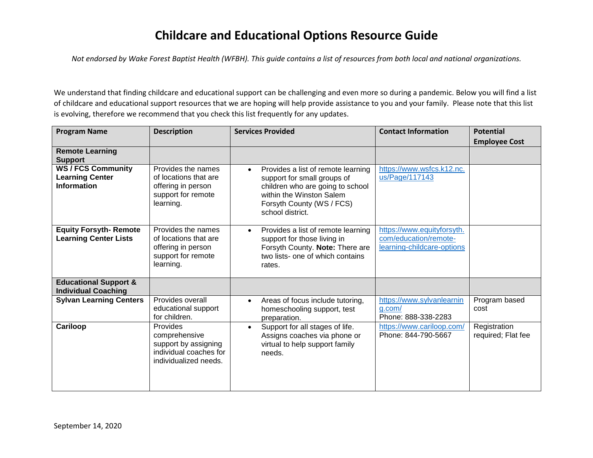## **Childcare and Educational Options Resource Guide**

*Not endorsed by Wake Forest Baptist Health (WFBH). This guide contains a list of resources from both local and national organizations.*

We understand that finding childcare and educational support can be challenging and even more so during a pandemic. Below you will find a list of childcare and educational support resources that we are hoping will help provide assistance to you and your family. Please note that this list is evolving, therefore we recommend that you check this list frequently for any updates.

| <b>Program Name</b>                                                       | <b>Description</b>                                                                                   | <b>Services Provided</b>                                                                                                                                                                        | <b>Contact Information</b>                                                        | <b>Potential</b>                   |
|---------------------------------------------------------------------------|------------------------------------------------------------------------------------------------------|-------------------------------------------------------------------------------------------------------------------------------------------------------------------------------------------------|-----------------------------------------------------------------------------------|------------------------------------|
| <b>Remote Learning</b><br><b>Support</b>                                  |                                                                                                      |                                                                                                                                                                                                 |                                                                                   | <b>Employee Cost</b>               |
| <b>WS / FCS Community</b><br><b>Learning Center</b><br><b>Information</b> | Provides the names<br>of locations that are<br>offering in person<br>support for remote<br>learning. | Provides a list of remote learning<br>$\bullet$<br>support for small groups of<br>children who are going to school<br>within the Winston Salem<br>Forsyth County (WS / FCS)<br>school district. | https://www.wsfcs.k12.nc.<br>us/Page/117143                                       |                                    |
| <b>Equity Forsyth- Remote</b><br><b>Learning Center Lists</b>             | Provides the names<br>of locations that are<br>offering in person<br>support for remote<br>learning. | Provides a list of remote learning<br>$\bullet$<br>support for those living in<br>Forsyth County. Note: There are<br>two lists- one of which contains<br>rates.                                 | https://www.equityforsyth.<br>com/education/remote-<br>learning-childcare-options |                                    |
| <b>Educational Support &amp;</b><br><b>Individual Coaching</b>            |                                                                                                      |                                                                                                                                                                                                 |                                                                                   |                                    |
| <b>Sylvan Learning Centers</b>                                            | Provides overall<br>educational support<br>for children.                                             | Areas of focus include tutoring,<br>$\bullet$<br>homeschooling support, test<br>preparation.                                                                                                    | https://www.sylvanlearnin<br>g.com/<br>Phone: 888-338-2283                        | Program based<br>cost              |
| Cariloop                                                                  | Provides<br>comprehensive<br>support by assigning<br>individual coaches for<br>individualized needs. | Support for all stages of life.<br>$\bullet$<br>Assigns coaches via phone or<br>virtual to help support family<br>needs.                                                                        | https://www.cariloop.com/<br>Phone: 844-790-5667                                  | Registration<br>required; Flat fee |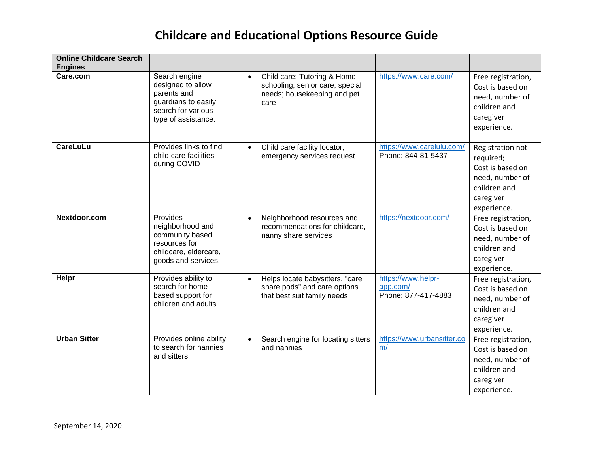## **Childcare and Educational Options Resource Guide**

| <b>Online Childcare Search</b><br><b>Engines</b> |                                                                                                                       |                                                                                                                     |                                                       |                                                                                                                  |
|--------------------------------------------------|-----------------------------------------------------------------------------------------------------------------------|---------------------------------------------------------------------------------------------------------------------|-------------------------------------------------------|------------------------------------------------------------------------------------------------------------------|
| Care.com                                         | Search engine<br>designed to allow<br>parents and<br>guardians to easily<br>search for various<br>type of assistance. | Child care; Tutoring & Home-<br>$\bullet$<br>schooling; senior care; special<br>needs; housekeeping and pet<br>care | https://www.care.com/                                 | Free registration,<br>Cost is based on<br>need, number of<br>children and<br>caregiver<br>experience.            |
| <b>CareLuLu</b>                                  | Provides links to find<br>child care facilities<br>during COVID                                                       | Child care facility locator;<br>$\bullet$<br>emergency services request                                             | https://www.carelulu.com/<br>Phone: 844-81-5437       | Registration not<br>required;<br>Cost is based on<br>need, number of<br>children and<br>caregiver<br>experience. |
| Nextdoor.com                                     | Provides<br>neighborhood and<br>community based<br>resources for<br>childcare, eldercare,<br>goods and services.      | Neighborhood resources and<br>$\bullet$<br>recommendations for childcare.<br>nanny share services                   | https://nextdoor.com/                                 | Free registration,<br>Cost is based on<br>need, number of<br>children and<br>caregiver<br>experience.            |
| Helpr                                            | Provides ability to<br>search for home<br>based support for<br>children and adults                                    | Helps locate babysitters, "care<br>$\bullet$<br>share pods" and care options<br>that best suit family needs         | https://www.helpr-<br>app.com/<br>Phone: 877-417-4883 | Free registration,<br>Cost is based on<br>need, number of<br>children and<br>caregiver<br>experience.            |
| <b>Urban Sitter</b>                              | Provides online ability<br>to search for nannies<br>and sitters.                                                      | Search engine for locating sitters<br>and nannies                                                                   | https://www.urbansitter.co<br>m/                      | Free registration,<br>Cost is based on<br>need, number of<br>children and<br>caregiver<br>experience.            |